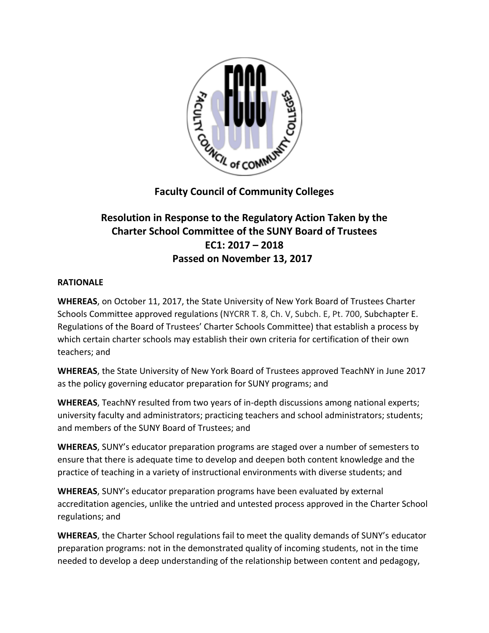

## **Faculty Council of Community Colleges**

## **Resolution in Response to the Regulatory Action Taken by the Charter School Committee of the SUNY Board of Trustees EC1: 2017 – 2018 Passed on November 13, 2017**

## **RATIONALE**

**WHEREAS**, on October 11, 2017, the State University of New York Board of Trustees Charter Schools Committee approved regulations (NYCRR T. 8, Ch. V, Subch. E, Pt. 700, Subchapter E. Regulations of the Board of Trustees' Charter Schools Committee) that establish a process by which certain charter schools may establish their own criteria for certification of their own teachers; and

**WHEREAS**, the State University of New York Board of Trustees approved TeachNY in June 2017 as the policy governing educator preparation for SUNY programs; and

**WHEREAS**, TeachNY resulted from two years of in-depth discussions among national experts; university faculty and administrators; practicing teachers and school administrators; students; and members of the SUNY Board of Trustees; and

**WHEREAS**, SUNY's educator preparation programs are staged over a number of semesters to ensure that there is adequate time to develop and deepen both content knowledge and the practice of teaching in a variety of instructional environments with diverse students; and

**WHEREAS**, SUNY's educator preparation programs have been evaluated by external accreditation agencies, unlike the untried and untested process approved in the Charter School regulations; and

**WHEREAS**, the Charter School regulations fail to meet the quality demands of SUNY's educator preparation programs: not in the demonstrated quality of incoming students, not in the time needed to develop a deep understanding of the relationship between content and pedagogy,